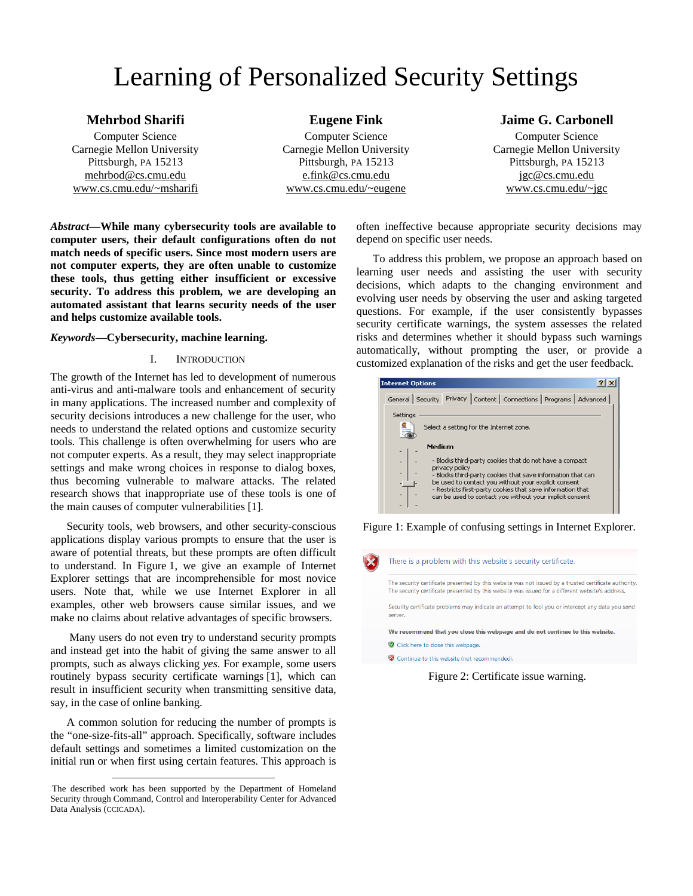# Learning of Personalized Security Settings

## **Mehrbod Sharifi**

Computer Science Carnegie Mellon University Pittsburgh, PA 15213 [mehrbod@cs.cmu.edu](mailto:mehrbod@cs.cmu.edu) [www.cs.cmu.edu/~msharifi](http://www.cs.cmu.edu/~msharifi)

**Eugene Fink**  Computer Science Carnegie Mellon University Pittsburgh, PA 15213 [e.fink@cs.cmu.edu](mailto:e.fink@cs.cmu.edu) [www.cs.cmu.edu/~eugene](http://www.cs.cmu.edu/~eugene)

## **Jaime G. Carbonell**

Computer Science Carnegie Mellon University Pittsburgh, PA 15213 [jgc@cs.cmu.edu](mailto:jgc@cs.cmu.edu) [www.cs.cmu.edu/~jgc](http://www.cs.cmu.edu/~jgc)

*Abstract***—While many cybersecurity tools are available to computer users, their default configurations often do not match needs of specific users. Since most modern users are not computer experts, they are often unable to customize these tools, thus getting either insufficient or excessive security. To address this problem, we are developing an automated assistant that learns security needs of the user and helps customize available tools.** 

## *Keywords***—Cybersecurity, machine learning. <sup>1</sup>**

## I. INTRODUCTION

The growth of the Internet has led to development of numerous anti-virus and anti-malware tools and enhancement of security in many applications. The increased number and complexity of security decisions introduces a new challenge for the user, who needs to understand the related options and customize security tools. This challenge is often overwhelming for users who are not computer experts. As a result, they may select inappropriate settings and make wrong choices in response to dialog boxes, thus becoming vulnerable to malware attacks. The related research shows that inappropriate use of these tools is one of the main causes of computer vulnerabilities [1].

Security tools, web browsers, and other security-conscious applications display various prompts to ensure that the user is aware of potential threats, but these prompts are often difficult to understand. In Figure 1, we give an example of Internet Explorer settings that are incomprehensible for most novice users. Note that, while we use Internet Explorer in all examples, other web browsers cause similar issues, and we make no claims about relative advantages of specific browsers.

 Many users do not even try to understand security prompts and instead get into the habit of giving the same answer to all prompts, such as always clicking *yes*. For example, some users routinely bypass security certificate warnings [1], which can result in insufficient security when transmitting sensitive data, say, in the case of online banking.

A common solution for reducing the number of prompts is the "one-size-fits-all" approach. Specifically, software includes default settings and sometimes a limited customization on the initial run or when first using certain features. This approach is

l

often ineffective because appropriate security decisions may depend on specific user needs.

To address this problem, we propose an approach based on learning user needs and assisting the user with security decisions, which adapts to the changing environment and evolving user needs by observing the user and asking targeted questions. For example, if the user consistently bypasses security certificate warnings, the system assesses the related risks and determines whether it should bypass such warnings automatically, without prompting the user, or provide a customized explanation of the risks and get the user feedback.

| $\boldsymbol{P}$<br><b>Internet Options</b>                                                                         |  |  |  |  |
|---------------------------------------------------------------------------------------------------------------------|--|--|--|--|
| Privacy   Content   Connections   Programs   Advanced<br>General Security                                           |  |  |  |  |
| Settings                                                                                                            |  |  |  |  |
| Select a setting for the Internet zone.                                                                             |  |  |  |  |
| Medium                                                                                                              |  |  |  |  |
|                                                                                                                     |  |  |  |  |
| - Blocks third-party cookies that do not have a compact<br>privacy policy                                           |  |  |  |  |
| - Blocks third-party cookies that save information that can<br>be used to contact you without your explicit consent |  |  |  |  |
| - Restricts first-party cookies that save information that                                                          |  |  |  |  |
| can be used to contact you without your implicit consent                                                            |  |  |  |  |
|                                                                                                                     |  |  |  |  |

Figure 1: Example of confusing settings in Internet Explorer.

|                                                                                                             | There is a problem with this website's security certificate.                                                                                                                                              |  |  |  |
|-------------------------------------------------------------------------------------------------------------|-----------------------------------------------------------------------------------------------------------------------------------------------------------------------------------------------------------|--|--|--|
|                                                                                                             | The security certificate presented by this website was not issued by a trusted certificate authority.<br>The security certificate presented by this website was issued for a different website's address. |  |  |  |
| Security certificate problems may indicate an attempt to fool you or intercept any data you send<br>server. |                                                                                                                                                                                                           |  |  |  |
|                                                                                                             | We recommend that you close this webpage and do not continue to this website.                                                                                                                             |  |  |  |
|                                                                                                             | Click here to close this webpage.                                                                                                                                                                         |  |  |  |
|                                                                                                             | Continue to this website (not recommended).                                                                                                                                                               |  |  |  |

Figure 2: Certificate issue warning.

<sup>1</sup>The described work has been supported by the Department of Homeland Security through Command, Control and Interoperability Center for Advanced Data Analysis (CCICADA).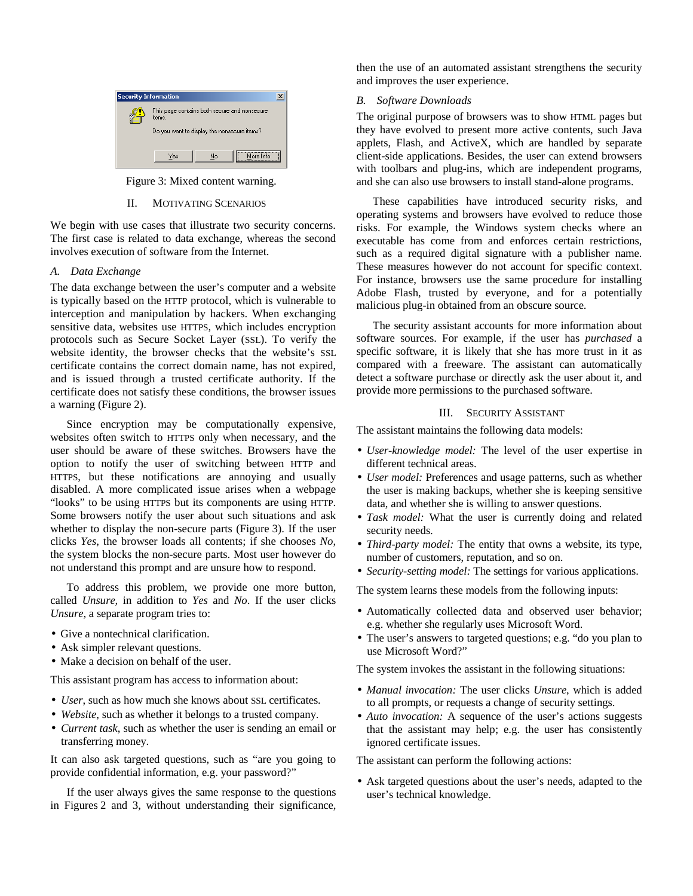

Figure 3: Mixed content warning.

## II. MOTIVATING SCENARIOS

We begin with use cases that illustrate two security concerns. The first case is related to data exchange, whereas the second involves execution of software from the Internet.

## *A. Data Exchange*

The data exchange between the user's computer and a website is typically based on the HTTP protocol, which is vulnerable to interception and manipulation by hackers. When exchanging sensitive data, websites use HTTPS, which includes encryption protocols such as Secure Socket Layer (SSL). To verify the website identity, the browser checks that the website's SSL certificate contains the correct domain name, has not expired, and is issued through a trusted certificate authority. If the certificate does not satisfy these conditions, the browser issues a warning (Figure 2).

Since encryption may be computationally expensive, websites often switch to HTTPS only when necessary, and the user should be aware of these switches. Browsers have the option to notify the user of switching between HTTP and HTTPS, but these notifications are annoying and usually disabled. A more complicated issue arises when a webpage "looks" to be using HTTPS but its components are using HTTP. Some browsers notify the user about such situations and ask whether to display the non-secure parts (Figure 3). If the user clicks *Yes*, the browser loads all contents; if she chooses *No*, the system blocks the non-secure parts. Most user however do not understand this prompt and are unsure how to respond.

To address this problem, we provide one more button, called *Unsure,* in addition to *Yes* and *No*. If the user clicks *Unsure*, a separate program tries to:

- Give a nontechnical clarification.
- Ask simpler relevant questions.
- Make a decision on behalf of the user.

This assistant program has access to information about:

- *User*, such as how much she knows about SSL certificates.
- *Website*, such as whether it belongs to a trusted company.
- *Current task*, such as whether the user is sending an email or transferring money.

It can also ask targeted questions, such as "are you going to provide confidential information, e.g. your password?"

If the user always gives the same response to the questions in Figures 2 and 3, without understanding their significance,

then the use of an automated assistant strengthens the security and improves the user experience.

## *B. Software Downloads*

The original purpose of browsers was to show HTML pages but they have evolved to present more active contents, such Java applets, Flash, and ActiveX, which are handled by separate client-side applications. Besides, the user can extend browsers with toolbars and plug-ins, which are independent programs, and she can also use browsers to install stand-alone programs.

These capabilities have introduced security risks, and operating systems and browsers have evolved to reduce those risks. For example, the Windows system checks where an executable has come from and enforces certain restrictions, such as a required digital signature with a publisher name. These measures however do not account for specific context. For instance, browsers use the same procedure for installing Adobe Flash, trusted by everyone, and for a potentially malicious plug-in obtained from an obscure source.

The security assistant accounts for more information about software sources. For example, if the user has *purchased* a specific software, it is likely that she has more trust in it as compared with a freeware. The assistant can automatically detect a software purchase or directly ask the user about it, and provide more permissions to the purchased software.

## III. SECURITY ASSISTANT

The assistant maintains the following data models:

- *User-knowledge model:* The level of the user expertise in different technical areas.
- *User model:* Preferences and usage patterns, such as whether the user is making backups, whether she is keeping sensitive data, and whether she is willing to answer questions.
- *Task model:* What the user is currently doing and related security needs.
- *Third-party model:* The entity that owns a website, its type, number of customers, reputation, and so on.
- *Security-setting model:* The settings for various applications.

The system learns these models from the following inputs:

- Automatically collected data and observed user behavior; e.g. whether she regularly uses Microsoft Word.
- The user's answers to targeted questions; e.g. "do you plan to use Microsoft Word?"

The system invokes the assistant in the following situations:

- *Manual invocation:* The user clicks *Unsure*, which is added to all prompts, or requests a change of security settings.
- *Auto invocation:* A sequence of the user's actions suggests that the assistant may help; e.g. the user has consistently ignored certificate issues.

The assistant can perform the following actions:

• Ask targeted questions about the user's needs, adapted to the user's technical knowledge.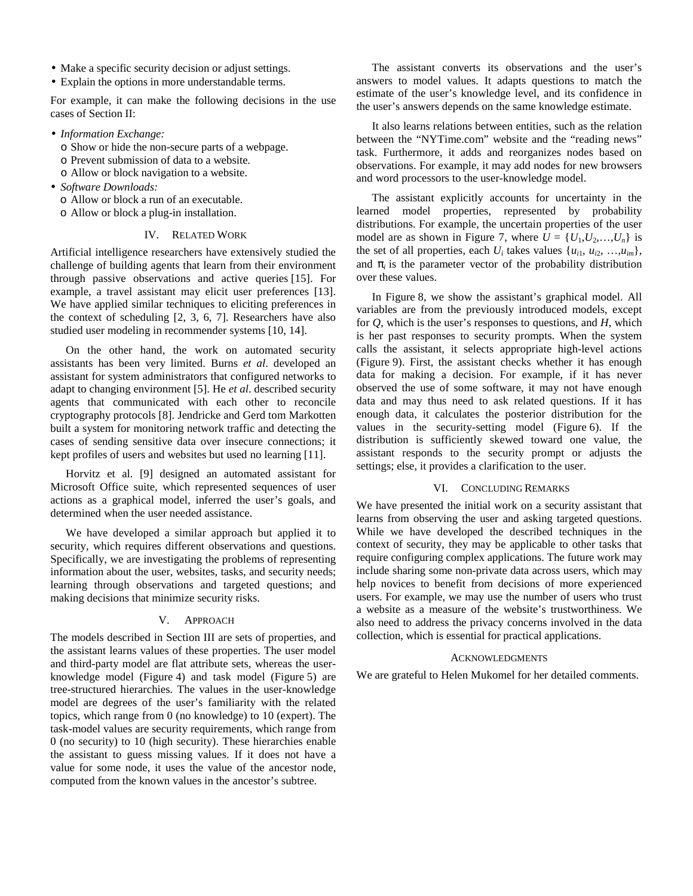- Make a specific security decision or adjust settings.
- Explain the options in more understandable terms.

For example, it can make the following decisions in the use cases of Section II:

- *Information Exchange:* 
	- o Show or hide the non-secure parts of a webpage.
	- o Prevent submission of data to a website.
	- o Allow or block navigation to a website.
- *Software Downloads:* 
	- o Allow or block a run of an executable.
	- o Allow or block a plug-in installation.

## IV. RELATED WORK

Artificial intelligence researchers have extensively studied the challenge of building agents that learn from their environment through passive observations and active queries [15]. For example, a travel assistant may elicit user preferences [13]. We have applied similar techniques to eliciting preferences in the context of scheduling [2, 3, 6, 7]. Researchers have also studied user modeling in recommender systems [10, 14].

On the other hand, the work on automated security assistants has been very limited. Burns *et al*. developed an assistant for system administrators that configured networks to adapt to changing environment [5]. He *et al*. described security agents that communicated with each other to reconcile cryptography protocols [8]. Jendricke and Gerd tom Markotten built a system for monitoring network traffic and detecting the cases of sending sensitive data over insecure connections; it kept profiles of users and websites but used no learning [11].

Horvitz et al. [9] designed an automated assistant for Microsoft Office suite, which represented sequences of user actions as a graphical model, inferred the user's goals, and determined when the user needed assistance.

We have developed a similar approach but applied it to security, which requires different observations and questions. Specifically, we are investigating the problems of representing information about the user, websites, tasks, and security needs; learning through observations and targeted questions; and making decisions that minimize security risks.

## V. APPROACH

The models described in Section III are sets of properties, and the assistant learns values of these properties. The user model and third-party model are flat attribute sets, whereas the userknowledge model (Figure 4) and task model (Figure 5) are tree-structured hierarchies. The values in the user-knowledge model are degrees of the user's familiarity with the related topics, which range from 0 (no knowledge) to 10 (expert). The task-model values are security requirements, which range from 0 (no security) to 10 (high security). These hierarchies enable the assistant to guess missing values. If it does not have a value for some node, it uses the value of the ancestor node, computed from the known values in the ancestor's subtree.

The assistant converts its observations and the user's answers to model values. It adapts questions to match the estimate of the user's knowledge level, and its confidence in the user's answers depends on the same knowledge estimate.

It also learns relations between entities, such as the relation between the "NYTime.com" website and the "reading news" task. Furthermore, it adds and reorganizes nodes based on observations. For example, it may add nodes for new browsers and word processors to the user-knowledge model.

The assistant explicitly accounts for uncertainty in the learned model properties, represented by probability distributions. For example, the uncertain properties of the user model are as shown in Figure 7, where  $U = \{U_1, U_2, \ldots, U_n\}$  is the set of all properties, each  $U_i$  takes values  $\{u_{i1}, u_{i2}, \ldots, u_{im}\},\$ and  $p_i$  is the parameter vector of the probability distribution over these values.

In Figure 8, we show the assistant's graphical model. All variables are from the previously introduced models, except for *Q*, which is the user's responses to questions, and *H*, which is her past responses to security prompts. When the system calls the assistant, it selects appropriate high-level actions (Figure 9). First, the assistant checks whether it has enough data for making a decision. For example, if it has never observed the use of some software, it may not have enough data and may thus need to ask related questions. If it has enough data, it calculates the posterior distribution for the values in the security-setting model (Figure 6). If the distribution is sufficiently skewed toward one value, the assistant responds to the security prompt or adjusts the settings; else, it provides a clarification to the user.

#### VI. CONCLUDING REMARKS

We have presented the initial work on a security assistant that learns from observing the user and asking targeted questions. While we have developed the described techniques in the context of security, they may be applicable to other tasks that require configuring complex applications. The future work may include sharing some non-private data across users, which may help novices to benefit from decisions of more experienced users. For example, we may use the number of users who trust a website as a measure of the website's trustworthiness. We also need to address the privacy concerns involved in the data collection, which is essential for practical applications.

#### ACKNOWLEDGMENTS

We are grateful to Helen Mukomel for her detailed comments.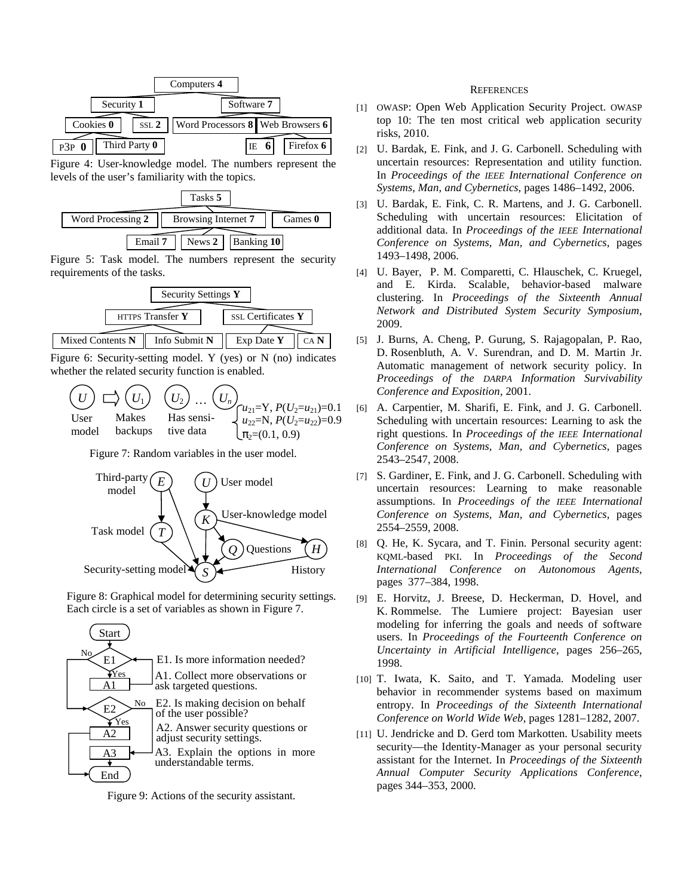|                               | Computers 4                                  |             |
|-------------------------------|----------------------------------------------|-------------|
| Security 1                    | Software 7                                   |             |
| Cookies 0<br>SSL <sub>2</sub> | Word Processors $8 \parallel$ Web Browsers 6 |             |
| Third Party 0<br>$P3P$ 0      | IE.                                          | Firefox $6$ |

Figure 4: User-knowledge model. The numbers represent the levels of the user's familiarity with the topics.



Figure 5: Task model. The numbers represent the security requirements of the tasks.



Figure 6: Security-setting model. Y (yes) or N (no) indicates whether the related security function is enabled.

|       |                |           | $U$ $\bigcup$ $U_1$ $U_2$ $\bigcup_{H \text{as sensi}} U_n$ $u_{21} = Y, P(U_2 = u_{21}) = 0.1$<br>$u_{22} = N, P(U_2 = u_{22}) = 0$ |
|-------|----------------|-----------|--------------------------------------------------------------------------------------------------------------------------------------|
| model | <b>backups</b> | tive data | $\mathbf{p}_2=(0.1, 0.9)$                                                                                                            |

Figure 7: Random variables in the user model.



Figure 8: Graphical model for determining security settings. Each circle is a set of variables as shown in Figure 7.



Figure 9: Actions of the security assistant.

#### **REFERENCES**

- [1] OWASP: Open Web Application Security Project. OWASP top 10: The ten most critical web application security risks, 2010.
- [2] U. Bardak, E. Fink, and J. G. Carbonell. Scheduling with uncertain resources: Representation and utility function. In *Proceedings of the IEEE International Conference on Systems, Man, and Cybernetics*, pages 1486–1492, 2006.
- [3] U. Bardak, E. Fink, C. R. Martens, and J. G. Carbonell. Scheduling with uncertain resources: Elicitation of additional data. In *Proceedings of the IEEE International Conference on Systems, Man, and Cybernetics*, pages 1493–1498, 2006.
- [4] U. Bayer, P. M. Comparetti, C. Hlauschek, C. Kruegel, and E. Kirda. Scalable, behavior-based malware clustering. In *Proceedings of the Sixteenth Annual Network and Distributed System Security Symposium*, 2009.
- [5] J. Burns, A. Cheng, P. Gurung, S. Rajagopalan, P. Rao, D. Rosenbluth, A. V. Surendran, and D. M. Martin Jr. Automatic management of network security policy. In *Proceedings of the DARPA Information Survivability Conference and Exposition*, 2001.
- [6] A. Carpentier, M. Sharifi, E. Fink, and J. G. Carbonell. Scheduling with uncertain resources: Learning to ask the right questions. In *Proceedings of the IEEE International Conference on Systems, Man, and Cybernetics*, pages 2543–2547, 2008.
- [7] S. Gardiner, E. Fink, and J. G. Carbonell. Scheduling with uncertain resources: Learning to make reasonable assumptions. In *Proceedings of the IEEE International Conference on Systems, Man, and Cybernetics*, pages 2554–2559, 2008.
- [8] Q. He, K. Sycara, and T. Finin. Personal security agent: KQML-based PKI. In *Proceedings of the Second International Conference on Autonomous Agents*, pages 377–384, 1998.
- [9] E. Horvitz, J. Breese, D. Heckerman, D. Hovel, and K. Rommelse. The Lumiere project: Bayesian user modeling for inferring the goals and needs of software users. In *Proceedings of the Fourteenth Conference on Uncertainty in Artificial Intelligence*, pages 256–265, 1998.
- [10] T. Iwata, K. Saito, and T. Yamada. Modeling user behavior in recommender systems based on maximum entropy. In *Proceedings of the Sixteenth International Conference on World Wide Web*, pages 1281–1282, 2007.
- [11] U. Jendricke and D. Gerd tom Markotten. Usability meets security—the Identity-Manager as your personal security assistant for the Internet. In *Proceedings of the Sixteenth Annual Computer Security Applications Conference*, pages 344–353, 2000.